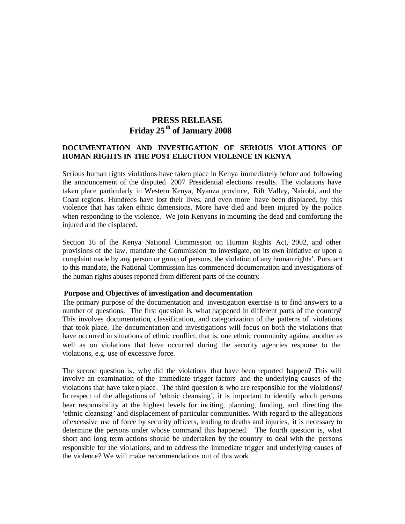# **PRESS RELEASE Friday 25th of January 2008**

## **DOCUMENTATION AND INVESTIGATION OF SERIOUS VIOLATIONS OF HUMAN RIGHTS IN THE POST ELECTION VIOLENCE IN KENYA**

Serious human rights violations have taken place in Kenya immediately before and following the announcement of the disputed 2007 Presidential elections results. The violations have taken place particularly in Western Kenya, Nyanza province, Rift Valley, Nairobi, and the Coast regions. Hundreds have lost their lives, and even more have been displaced, by this violence that has taken ethnic dimensions. More have died and been injured by the police when responding to the violence. We join Kenyans in mourning the dead and comforting the injured and the displaced.

Section 16 of the Kenya National Commission on Human Rights Act, 2002, and other provisions of the law, mandate the Commission 'to investigate, on its own initiative or upon a complaint made by any person or group of persons, the violation of any human rights'. Pursuant to this mandate, the National Commission has commenced documentation and investigations of the human rights abuses reported from different parts of the country.

#### **Purpose and Objectives of investigation and documentation**

The primary purpose of the documentation and investigation exercise is to find answers to a number of questions. The first question is, what happened in different parts of the country? This involves documentation, classification, and categorization of the patterns of violations that took place. The documentation and investigations will focus on both the violations that have occurred in situations of ethnic conflict, that is, one ethnic community against another as well as on violations that have occurred during the security agencies response to the violations, e.g. use of excessive force.

The second question is, why did the violations that have been reported happen? This will involve an examination of the immediate trigger factors and the underlying causes of the violations that have taken place. The third question is who are responsible for the violations? In respect of the allegations of 'ethnic cleansing', it is important to identify which persons bear responsibility at the highest levels for inciting, planning, funding, and directing the 'ethnic cleansing' and displacement of particular communities. With regard to the allegations of excessive use of force by security officers, leading to deaths and injuries, it is necessary to determine the persons under whose command this happened. The fourth question is, what short and long term actions should be undertaken by the country to deal with the persons responsible for the violations, and to address the immediate trigger and underlying causes of the violence? We will make recommendations out of this work.